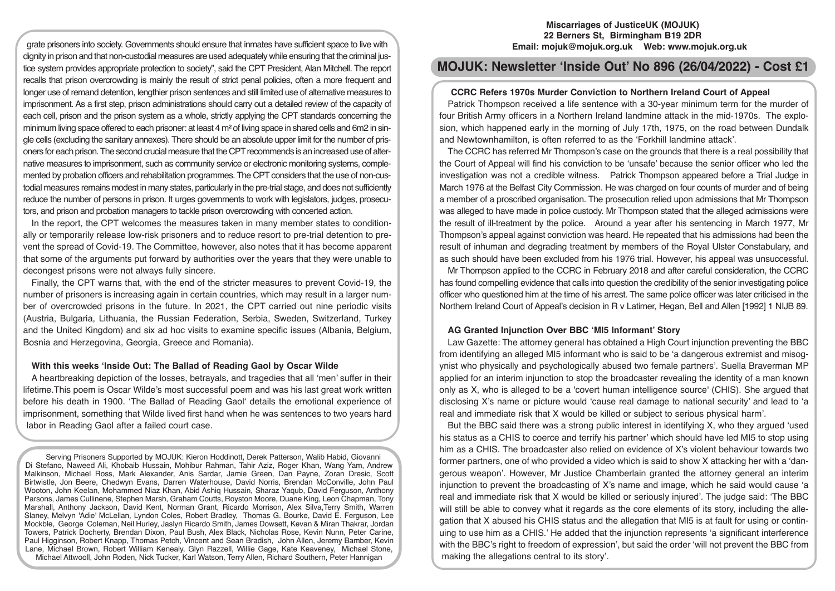**Miscarriages of JusticeUK (MOJUK) 22 Berners St, Birmingham B19 2DR Email: mojuk@mojuk.org.uk Web: www.mojuk.org.uk**

# **MOJUK: Newsletter 'Inside Out' No 896 (26/04/2022) - Cost £1**

# **CCRC Refers 1970s Murder Conviction to Northern Ireland Court of Appeal**

Patrick Thompson received a life sentence with a 30-year minimum term for the murder of four British Army officers in a Northern Ireland landmine attack in the mid-1970s. The explosion, which happened early in the morning of July 17th, 1975, on the road between Dundalk and Newtownhamilton, is often referred to as the 'Forkhill landmine attack'.

The CCRC has referred Mr Thompson's case on the grounds that there is a real possibility that the Court of Appeal will find his conviction to be 'unsafe' because the senior officer who led the investigation was not a credible witness. Patrick Thompson appeared before a Trial Judge in March 1976 at the Belfast City Commission. He was charged on four counts of murder and of being a member of a proscribed organisation. The prosecution relied upon admissions that Mr Thompson was alleged to have made in police custody. Mr Thompson stated that the alleged admissions were the result of ill-treatment by the police. Around a year after his sentencing in March 1977, Mr Thompson's appeal against conviction was heard. He repeated that his admissions had been the result of inhuman and degrading treatment by members of the Royal Ulster Constabulary, and as such should have been excluded from his 1976 trial. However, his appeal was unsuccessful.

Mr Thompson applied to the CCRC in February 2018 and after careful consideration, the CCRC has found compelling evidence that calls into question the credibility of the senior investigating police officer who questioned him at the time of his arrest. The same police officer was later criticised in the Northern Ireland Court of Appeal's decision in R v Latimer, Hegan, Bell and Allen [1992] 1 NIJB 89.

# **AG Granted Injunction Over BBC 'MI5 Informant' Story**

Law Gazette: The attorney general has obtained a High Court injunction preventing the BBC from identifying an alleged MI5 informant who is said to be 'a dangerous extremist and misogynist who physically and psychologically abused two female partners'. Suella Braverman MP applied for an interim injunction to stop the broadcaster revealing the identity of a man known only as X, who is alleged to be a 'covert human intelligence source' (CHIS). She argued that disclosing X's name or picture would 'cause real damage to national security' and lead to 'a real and immediate risk that X would be killed or subject to serious physical harm'.

But the BBC said there was a strong public interest in identifying X, who they argued 'used his status as a CHIS to coerce and terrify his partner' which should have led MI5 to stop using him as a CHIS. The broadcaster also relied on evidence of X's violent behaviour towards two former partners, one of who provided a video which is said to show X attacking her with a 'dangerous weapon'. However, Mr Justice Chamberlain granted the attorney general an interim injunction to prevent the broadcasting of X's name and image, which he said would cause 'a real and immediate risk that X would be killed or seriously injured'. The judge said: 'The BBC will still be able to convey what it regards as the core elements of its story, including the allegation that X abused his CHIS status and the allegation that MI5 is at fault for using or continuing to use him as a CHIS.' He added that the injunction represents 'a significant interference with the BBC's right to freedom of expression', but said the order 'will not prevent the BBC from making the allegations central to its story'.

grate prisoners into society. Governments should ensure that inmates have sufficient space to live with dignity in prison and that non-custodial measures are used adequately while ensuring that the criminal justice system provides appropriate protection to society", said the CPT President, Alan Mitchell. The report recalls that prison overcrowding is mainly the result of strict penal policies, often a more frequent and longer use of remand detention, lengthier prison sentences and still limited use of alternative measures to imprisonment. As a first step, prison administrations should carry out a detailed review of the capacity of each cell, prison and the prison system as a whole, strictly applying the CPT standards concerning the minimum living space offered to each prisoner: at least 4 m² of living space in shared cells and 6m2 in single cells (excluding the sanitary annexes). There should be an absolute upper limit for the number of prisoners for each prison. The second crucial measure that the CPT recommends is an increased use of alternative measures to imprisonment, such as community service or electronic monitoring systems, complemented by probation officers and rehabilitation programmes. The CPT considers that the use of non-custodial measures remains modest in many states, particularly in the pre-trial stage, and does not sufficiently reduce the number of persons in prison. It urges governments to work with legislators, judges, prosecutors, and prison and probation managers to tackle prison overcrowding with concerted action.

In the report, the CPT welcomes the measures taken in many member states to conditionally or temporarily release low-risk prisoners and to reduce resort to pre-trial detention to prevent the spread of Covid-19. The Committee, however, also notes that it has become apparent that some of the arguments put forward by authorities over the years that they were unable to decongest prisons were not always fully sincere.

Finally, the CPT warns that, with the end of the stricter measures to prevent Covid-19, the number of prisoners is increasing again in certain countries, which may result in a larger number of overcrowded prisons in the future. In 2021, the CPT carried out nine periodic visits (Austria, Bulgaria, Lithuania, the Russian Federation, Serbia, Sweden, Switzerland, Turkey and the United Kingdom) and six ad hoc visits to examine specific issues (Albania, Belgium, Bosnia and Herzegovina, Georgia, Greece and Romania).

#### **With this weeks 'Inside Out: The Ballad of Reading Gaol by Oscar Wilde**

A heartbreaking depiction of the losses, betrayals, and tragedies that all 'men' suffer in their lifetime.This poem is Oscar Wilde's most successful poem and was his last great work written before his death in 1900. 'The Ballad of Reading Gaol' details the emotional experience of imprisonment, something that Wilde lived first hand when he was sentences to two years hard labor in Reading Gaol after a failed court case.

Serving Prisoners Supported by MOJUK: Kieron Hoddinott, Derek Patterson, Walib Habid, Giovanni Di Stefano, Naweed Ali, Khobaib Hussain, Mohibur Rahman, Tahir Aziz, Roger Khan, Wang Yam, Andrew Malkinson, Michael Ross, Mark Alexander, Anis Sardar, Jamie Green, Dan Payne, Zoran Dresic, Scott Birtwistle, Jon Beere, Chedwyn Evans, Darren Waterhouse, David Norris, Brendan McConville, John Paul Wooton, John Keelan, Mohammed Niaz Khan, Abid Ashiq Hussain, Sharaz Yaqub, David Ferguson, Anthony Parsons, James Cullinene, Stephen Marsh, Graham Coutts, Royston Moore, Duane King, Leon Chapman, Tony Marshall, Anthony Jackson, David Kent, Norman Grant, Ricardo Morrison, Alex Silva,Terry Smith, Warren Slaney, Melvyn 'Adie' McLellan, Lyndon Coles, Robert Bradley, Thomas G. Bourke, David E. Ferguson, Lee Mockble, George Coleman, Neil Hurley, Jaslyn Ricardo Smith, James Dowsett, Kevan & Miran Thakrar, Jordan Towers, Patrick Docherty, Brendan Dixon, Paul Bush, Alex Black, Nicholas Rose, Kevin Nunn, Peter Carine, Paul Higginson, Robert Knapp, Thomas Petch, Vincent and Sean Bradish, John Allen, Jeremy Bamber, Kevin Lane, Michael Brown, Robert William Kenealy, Glyn Razzell, Willie Gage, Kate Keaveney, Michael Stone, Michael Attwooll, John Roden, Nick Tucker, Karl Watson, Terry Allen, Richard Southern, Peter Hannigan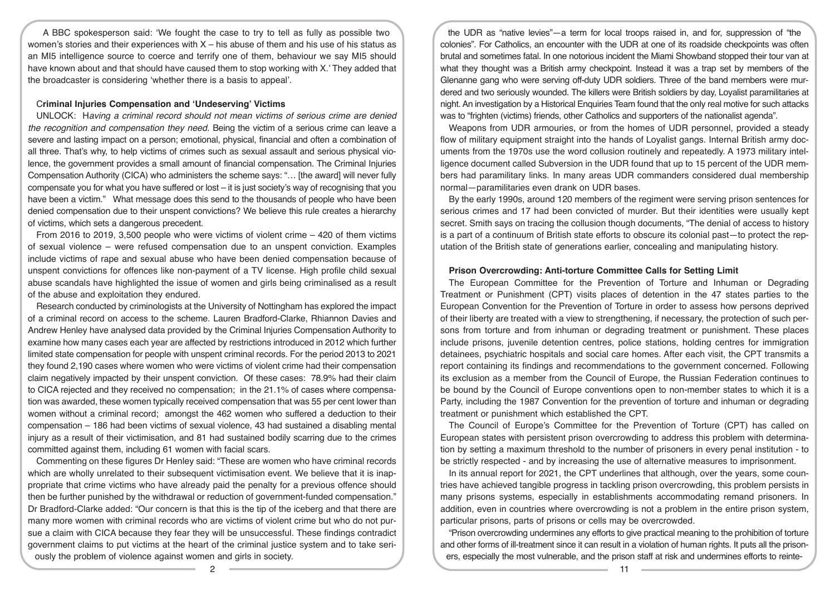A BBC spokesperson said: 'We fought the case to try to tell as fully as possible two women's stories and their experiences with  $X -$  his abuse of them and his use of his status as an MI5 intelligence source to coerce and terrify one of them, behaviour we say MI5 should have known about and that should have caused them to stop working with X.' They added that the broadcaster is considering 'whether there is a basis to appeal'.

## C**riminal Injuries Compensation and 'Undeserving' Victims**

UNLOCK: H*aving a criminal record should not mean victims of serious crime are denied the recognition and compensation they need.* Being the victim of a serious crime can leave a severe and lasting impact on a person; emotional, physical, financial and often a combination of all three. That's why, to help victims of crimes such as sexual assault and serious physical violence, the government provides a small amount of financial compensation. The Criminal Injuries Compensation Authority (CICA) who administers the scheme says: "… [the award] will never fully compensate you for what you have suffered or lost – it is just society's way of recognising that you have been a victim."   What message does this send to the thousands of people who have been denied compensation due to their unspent convictions? We believe this rule creates a hierarchy of victims, which sets a dangerous precedent.

From 2016 to 2019, 3,500 people who were victims of violent crime – 420 of them victims of sexual violence – were refused compensation due to an unspent conviction. Examples include victims of rape and sexual abuse who have been denied compensation because of unspent convictions for offences like non-payment of a TV license. High profile child sexual abuse scandals have highlighted the issue of women and girls being criminalised as a result of the abuse and exploitation they endured.

Research conducted by criminologists at the University of Nottingham has explored the impact of a criminal record on access to the scheme. Lauren Bradford-Clarke, Rhiannon Davies and Andrew Henley have analysed data provided by the Criminal Injuries Compensation Authority to examine how many cases each year are affected by restrictions introduced in 2012 which further limited state compensation for people with unspent criminal records. For the period 2013 to 2021 they found 2,190 cases where women who were victims of violent crime had their compensation claim negatively impacted by their unspent conviction. Of these cases: 78.9% had their claim to CICA rejected and they received no compensation; in the 21.1% of cases where compensation was awarded, these women typically received compensation that was 55 per cent lower than women without a criminal record; amongst the 462 women who suffered a deduction to their compensation – 186 had been victims of sexual violence, 43 had sustained a disabling mental injury as a result of their victimisation, and 81 had sustained bodily scarring due to the crimes committed against them, including 61 women with facial scars.

Commenting on these figures Dr Henley said: "These are women who have criminal records which are wholly unrelated to their subsequent victimisation event. We believe that it is inappropriate that crime victims who have already paid the penalty for a previous offence should then be further punished by the withdrawal or reduction of government-funded compensation." Dr Bradford-Clarke added: "Our concern is that this is the tip of the iceberg and that there are many more women with criminal records who are victims of violent crime but who do not pursue a claim with CICA because they fear they will be unsuccessful. These findings contradict government claims to put victims at the heart of the criminal justice system and to take seriously the problem of violence against women and girls in society.

the UDR as "native levies"—a term for local troops raised in, and for, suppression of "the colonies". For Catholics, an encounter with the UDR at one of its roadside checkpoints was often brutal and sometimes fatal. In one notorious incident the Miami Showband stopped their tour van at what they thought was a British army checkpoint. Instead it was a trap set by members of the Glenanne gang who were serving off-duty UDR soldiers. Three of the band members were murdered and two seriously wounded. The killers were British soldiers by day, Loyalist paramilitaries at night. An investigation by a Historical Enquiries Team found that the only real motive for such attacks was to "frighten (victims) friends, other Catholics and supporters of the nationalist agenda".

Weapons from UDR armouries, or from the homes of UDR personnel, provided a steady flow of military equipment straight into the hands of Loyalist gangs. Internal British army documents from the 1970s use the word collusion routinely and repeatedly. A 1973 military intelligence document called Subversion in the UDR found that up to 15 percent of the UDR members had paramilitary links. In many areas UDR commanders considered dual membership normal—paramilitaries even drank on UDR bases.

By the early 1990s, around 120 members of the regiment were serving prison sentences for serious crimes and 17 had been convicted of murder. But their identities were usually kept secret. Smith says on tracing the collusion though documents, "The denial of access to history is a part of a continuum of British state efforts to obscure its colonial past—to protect the reputation of the British state of generations earlier, concealing and manipulating history.

#### **Prison Overcrowding: Anti-torture Committee Calls for Setting Limit**

The European Committee for the Prevention of Torture and Inhuman or Degrading Treatment or Punishment (CPT) visits places of detention in the 47 states parties to the European Convention for the Prevention of Torture in order to assess how persons deprived of their liberty are treated with a view to strengthening, if necessary, the protection of such persons from torture and from inhuman or degrading treatment or punishment. These places include prisons, juvenile detention centres, police stations, holding centres for immigration detainees, psychiatric hospitals and social care homes. After each visit, the CPT transmits a report containing its findings and recommendations to the government concerned. Following its exclusion as a member from the Council of Europe, the Russian Federation continues to be bound by the Council of Europe conventions open to non-member states to which it is a Party, including the 1987 Convention for the prevention of torture and inhuman or degrading treatment or punishment which established the CPT.

The Council of Europe's Committee for the Prevention of Torture (CPT) has called on European states with persistent prison overcrowding to address this problem with determination by setting a maximum threshold to the number of prisoners in every penal institution - to be strictly respected - and by increasing the use of alternative measures to imprisonment.

In its annual report for 2021, the CPT underlines that although, over the years, some countries have achieved tangible progress in tackling prison overcrowding, this problem persists in many prisons systems, especially in establishments accommodating remand prisoners. In addition, even in countries where overcrowding is not a problem in the entire prison system, particular prisons, parts of prisons or cells may be overcrowded.

"Prison overcrowding undermines any efforts to give practical meaning to the prohibition of torture and other forms of ill-treatment since it can result in a violation of human rights. It puts all the prisoners, especially the most vulnerable, and the prison staff at risk and undermines efforts to reinte-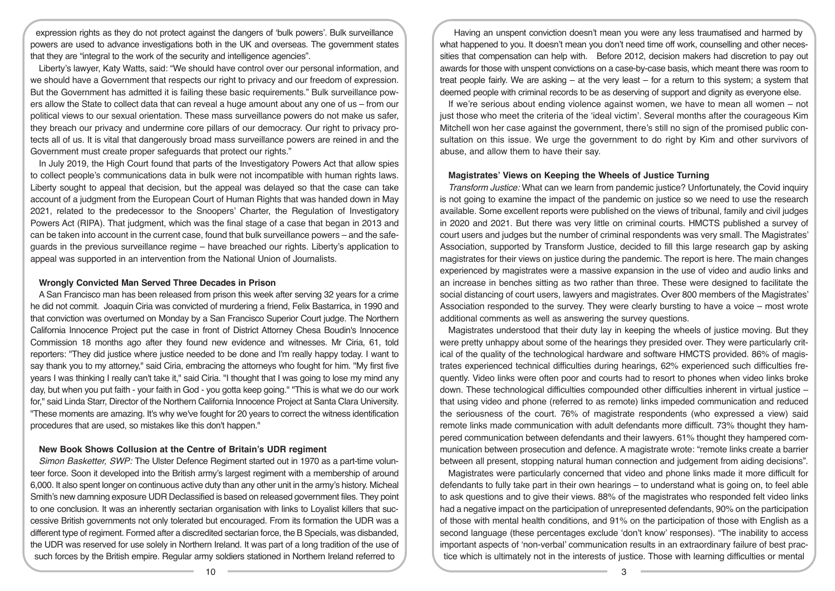expression rights as they do not protect against the dangers of 'bulk powers'. Bulk surveillance powers are used to advance investigations both in the UK and overseas. The government states that they are "integral to the work of the security and intelligence agencies".

Liberty's lawyer, Katy Watts, said: "We should have control over our personal information, and we should have a Government that respects our right to privacy and our freedom of expression. But the Government has admitted it is failing these basic requirements." Bulk surveillance powers allow the State to collect data that can reveal a huge amount about any one of us – from our political views to our sexual orientation. These mass surveillance powers do not make us safer, they breach our privacy and undermine core pillars of our democracy. Our right to privacy protects all of us. It is vital that dangerously broad mass surveillance powers are reined in and the Government must create proper safeguards that protect our rights."

In July 2019, the High Court found that parts of the Investigatory Powers Act that allow spies to collect people's communications data in bulk were not incompatible with human rights laws. Liberty sought to appeal that decision, but the appeal was delayed so that the case can take account of a judgment from the European Court of Human Rights that was handed down in May 2021, related to the predecessor to the Snoopers' Charter, the Regulation of Investigatory Powers Act (RIPA). That judgment, which was the final stage of a case that began in 2013 and can be taken into account in the current case, found that bulk surveillance powers – and the safeguards in the previous surveillance regime – have breached our rights. Liberty's application to appeal was supported in an intervention from the National Union of Journalists.

## **Wrongly Convicted Man Served Three Decades in Prison**

A San Francisco man has been released from prison this week after serving 32 years for a crime he did not commit. Joaquin Ciria was convicted of murdering a friend, Felix Bastarrica, in 1990 and that conviction was overturned on Monday by a San Francisco Superior Court judge. The Northern California Innocence Project put the case in front of District Attorney Chesa Boudin's Innocence Commission 18 months ago after they found new evidence and witnesses. Mr Ciria, 61, told reporters: "They did justice where justice needed to be done and I'm really happy today. I want to say thank you to my attorney," said Ciria, embracing the attorneys who fought for him. "My first five years I was thinking I really can't take it," said Ciria. "I thought that I was going to lose my mind any day, but when you put faith - your faith in God - you gotta keep going." "This is what we do our work for," said Linda Starr, Director of the Northern California Innocence Project at Santa Clara University. "These moments are amazing. It's why we've fought for 20 years to correct the witness identification procedures that are used, so mistakes like this don't happen."

# **New Book Shows Collusion at the Centre of Britain's UDR regiment**

*Simon Basketter, SWP:* The Ulster Defence Regiment started out in 1970 as a part-time volunteer force. Soon it developed into the British army's largest regiment with a membership of around 6,000. It also spent longer on continuous active duty than any other unit in the army's history. Micheal Smith's new damning exposure UDR Declassified is based on released government files. They point to one conclusion. It was an inherently sectarian organisation with links to Loyalist killers that successive British governments not only tolerated but encouraged. From its formation the UDR was a different type of regiment. Formed after a discredited sectarian force, the B Specials, was disbanded, the UDR was reserved for use solely in Northern Ireland. It was part of a long tradition of the use of such forces by the British empire. Regular army soldiers stationed in Northern Ireland referred to

Having an unspent conviction doesn't mean you were any less traumatised and harmed by what happened to you. It doesn't mean you don't need time off work, counselling and other necessities that compensation can help with. Before 2012, decision makers had discretion to pay out awards for those with unspent convictions on a case-by-case basis, which meant there was room to treat people fairly. We are asking – at the very least – for a return to this system; a system that deemed people with criminal records to be as deserving of support and dignity as everyone else.

If we're serious about ending violence against women, we have to mean all women – not just those who meet the criteria of the 'ideal victim'. Several months after the courageous Kim Mitchell won her case against the government, there's still no sign of the promised public consultation on this issue. We urge the government to do right by Kim and other survivors of abuse, and allow them to have their say.

# **Magistrates' Views on Keeping the Wheels of Justice Turning**

*Transform Justice:* What can we learn from pandemic justice? Unfortunately, the Covid inquiry is not going to examine the impact of the pandemic on justice so we need to use the research available. Some excellent reports were published on the views of tribunal, family and civil judges in 2020 and 2021. But there was very little on criminal courts. HMCTS published a survey of court users and judges but the number of criminal respondents was very small. The Magistrates' Association, supported by Transform Justice, decided to fill this large research gap by asking magistrates for their views on justice during the pandemic. The report is here. The main changes experienced by magistrates were a massive expansion in the use of video and audio links and an increase in benches sitting as two rather than three. These were designed to facilitate the social distancing of court users, lawyers and magistrates. Over 800 members of the Magistrates' Association responded to the survey. They were clearly bursting to have a voice – most wrote additional comments as well as answering the survey questions.

Magistrates understood that their duty lay in keeping the wheels of justice moving. But they were pretty unhappy about some of the hearings they presided over. They were particularly critical of the quality of the technological hardware and software HMCTS provided. 86% of magistrates experienced technical difficulties during hearings, 62% experienced such difficulties frequently. Video links were often poor and courts had to resort to phones when video links broke down. These technological difficulties compounded other difficulties inherent in virtual justice – that using video and phone (referred to as remote) links impeded communication and reduced the seriousness of the court. 76% of magistrate respondents (who expressed a view) said remote links made communication with adult defendants more difficult. 73% thought they hampered communication between defendants and their lawyers. 61% thought they hampered communication between prosecution and defence. A magistrate wrote: "remote links create a barrier between all present, stopping natural human connection and judgement from aiding decisions".

Magistrates were particularly concerned that video and phone links made it more difficult for defendants to fully take part in their own hearings – to understand what is going on, to feel able to ask questions and to give their views. 88% of the magistrates who responded felt video links had a negative impact on the participation of unrepresented defendants, 90% on the participation of those with mental health conditions, and 91% on the participation of those with English as a second language (these percentages exclude 'don't know' responses). "The inability to access important aspects of 'non-verbal' communication results in an extraordinary failure of best practice which is ultimately not in the interests of justice. Those with learning difficulties or mental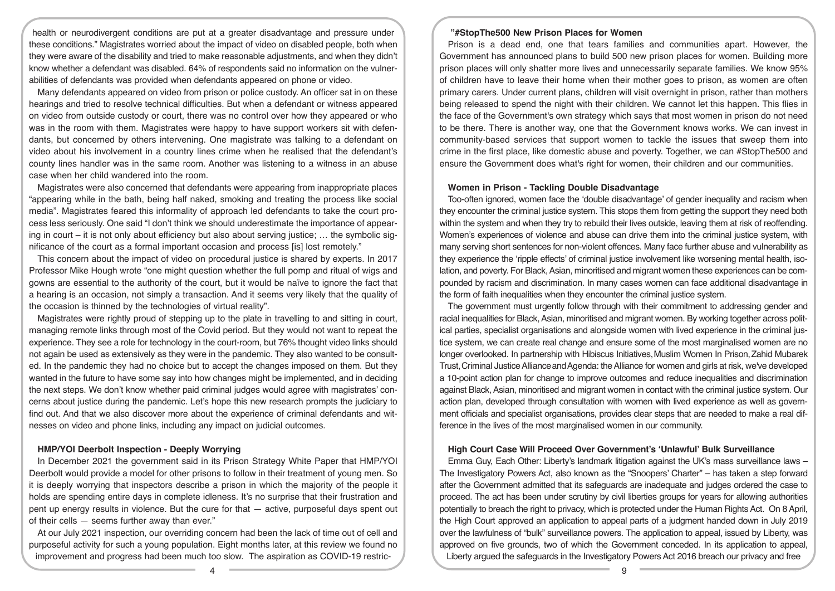health or neurodivergent conditions are put at a greater disadvantage and pressure under these conditions." Magistrates worried about the impact of video on disabled people, both when they were aware of the disability and tried to make reasonable adjustments, and when they didn't know whether a defendant was disabled. 64% of respondents said no information on the vulnerabilities of defendants was provided when defendants appeared on phone or video.

Many defendants appeared on video from prison or police custody. An officer sat in on these hearings and tried to resolve technical difficulties. But when a defendant or witness appeared on video from outside custody or court, there was no control over how they appeared or who was in the room with them. Magistrates were happy to have support workers sit with defendants, but concerned by others intervening. One magistrate was talking to a defendant on video about his involvement in a country lines crime when he realised that the defendant's county lines handler was in the same room. Another was listening to a witness in an abuse case when her child wandered into the room.

Magistrates were also concerned that defendants were appearing from inappropriate places "appearing while in the bath, being half naked, smoking and treating the process like social media". Magistrates feared this informality of approach led defendants to take the court process less seriously. One said "I don't think we should underestimate the importance of appearing in court – it is not only about efficiency but also about serving justice; … the symbolic significance of the court as a formal important occasion and process [is] lost remotely."

This concern about the impact of video on procedural justice is shared by experts. In 2017 Professor Mike Hough wrote "one might question whether the full pomp and ritual of wigs and gowns are essential to the authority of the court, but it would be naïve to ignore the fact that a hearing is an occasion, not simply a transaction. And it seems very likely that the quality of the occasion is thinned by the technologies of virtual reality".

Magistrates were rightly proud of stepping up to the plate in travelling to and sitting in court, managing remote links through most of the Covid period. But they would not want to repeat the experience. They see a role for technology in the court-room, but 76% thought video links should not again be used as extensively as they were in the pandemic. They also wanted to be consulted. In the pandemic they had no choice but to accept the changes imposed on them. But they wanted in the future to have some say into how changes might be implemented, and in deciding the next steps. We don't know whether paid criminal judges would agree with magistrates' concerns about justice during the pandemic. Let's hope this new research prompts the judiciary to find out. And that we also discover more about the experience of criminal defendants and witnesses on video and phone links, including any impact on judicial outcomes.

# **HMP/YOI Deerbolt Inspection - Deeply Worrying**

In December 2021 the government said in its Prison Strategy White Paper that HMP/YOI Deerbolt would provide a model for other prisons to follow in their treatment of young men. So it is deeply worrying that inspectors describe a prison in which the majority of the people it holds are spending entire days in complete idleness. It's no surprise that their frustration and pent up energy results in violence. But the cure for that — active, purposeful days spent out of their cells — seems further away than ever."

At our July 2021 inspection, our overriding concern had been the lack of time out of cell and purposeful activity for such a young population. Eight months later, at this review we found no improvement and progress had been much too slow. The aspiration as COVID-19 restric-

# **"#StopThe500 New Prison Places for Women**

Prison is a dead end, one that tears families and communities apart. However, the Government has announced plans to build 500 new prison places for women. Building more prison places will only shatter more lives and unnecessarily separate families. We know 95% of children have to leave their home when their mother goes to prison, as women are often primary carers. Under current plans, children will visit overnight in prison, rather than mothers being released to spend the night with their children. We cannot let this happen. This flies in the face of the Government's own strategy which says that most women in prison do not need to be there. There is another way, one that the Government knows works. We can invest in community-based services that support women to tackle the issues that sweep them into crime in the first place, like domestic abuse and poverty. Together, we can #StopThe500 and ensure the Government does what's right for women, their children and our communities.

# **Women in Prison - Tackling Double Disadvantage**

Too-often ignored, women face the 'double disadvantage' of gender inequality and racism when they encounter the criminal justice system. This stops them from getting the support they need both within the system and when they try to rebuild their lives outside, leaving them at risk of reoffending. Women's experiences of violence and abuse can drive them into the criminal justice system, with many serving short sentences for non-violent offences. Many face further abuse and vulnerability as they experience the 'ripple effects' of criminal justice involvement like worsening mental health, isolation, and poverty. For Black, Asian, minoritised and migrant women these experiences can be compounded by racism and discrimination. In many cases women can face additional disadvantage in the form of faith inequalities when they encounter the criminal justice system.

The government must urgently follow through with their commitment to addressing gender and racial inequalities for Black, Asian, minoritised and migrant women. By working together across political parties, specialist organisations and alongside women with lived experience in the criminal justice system, we can create real change and ensure some of the most marginalised women are no longer overlooked. In partnership with Hibiscus Initiatives, Muslim Women In Prison, Zahid Mubarek Trust,Criminal Justice AllianceandAgenda: the Alliance for women and girls at risk, we've developed a 10-point action plan for change to improve outcomes and reduce inequalities and discrimination against Black, Asian, minoritised and migrant women in contact with the criminal justice system. Our action plan, developed through consultation with women with lived experience as well as government officials and specialist organisations, provides clear steps that are needed to make a real difference in the lives of the most marginalised women in our community.

# **High Court Case Will Proceed Over Government's 'Unlawful' Bulk Surveillance**

Emma Guy, Each Other: Liberty's landmark litigation against the UK's mass surveillance laws – The Investigatory Powers Act, also known as the "Snoopers' Charter" – has taken a step forward after the Government admitted that its safeguards are inadequate and judges ordered the case to proceed. The act has been under scrutiny by civil liberties groups for years for allowing authorities potentially to breach the right to privacy, which is protected under the Human Rights Act. On 8 April, the High Court approved an application to appeal parts of a judgment handed down in July 2019 over the lawfulness of "bulk" surveillance powers. The application to appeal, issued by Liberty, was approved on five grounds, two of which the Government conceded. In its application to appeal, Liberty argued the safeguards in the Investigatory Powers Act 2016 breach our privacy and free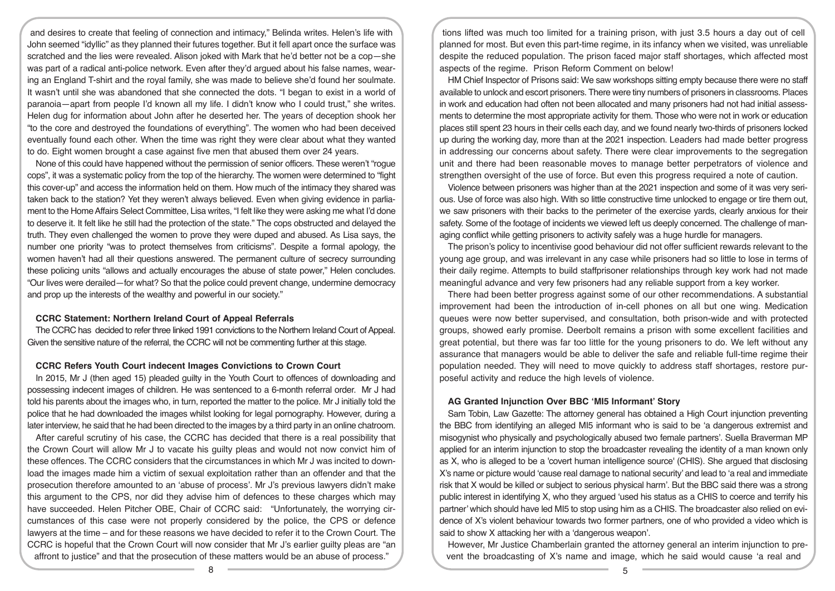and desires to create that feeling of connection and intimacy," Belinda writes. Helen's life with John seemed "idyllic" as they planned their futures together. But it fell apart once the surface was scratched and the lies were revealed. Alison joked with Mark that he'd better not be a cop—she was part of a radical anti-police network. Even after they'd argued about his false names, wearing an England T-shirt and the royal family, she was made to believe she'd found her soulmate. It wasn't until she was abandoned that she connected the dots. "I began to exist in a world of paranoia—apart from people I'd known all my life. I didn't know who I could trust," she writes. Helen dug for information about John after he deserted her. The years of deception shook her "to the core and destroyed the foundations of everything". The women who had been deceived eventually found each other. When the time was right they were clear about what they wanted to do. Eight women brought a case against five men that abused them over 24 years.

None of this could have happened without the permission of senior officers. These weren't "rogue cops", it was a systematic policy from the top of the hierarchy. The women were determined to "fight this cover-up" and access the information held on them. How much of the intimacy they shared was taken back to the station? Yet they weren't always believed. Even when giving evidence in parliament to the Home Affairs Select Committee, Lisa writes, "I felt like they were asking me what I'd done to deserve it. It felt like he still had the protection of the state." The cops obstructed and delayed the truth. They even challenged the women to prove they were duped and abused. As Lisa says, the number one priority "was to protect themselves from criticisms". Despite a formal apology, the women haven't had all their questions answered. The permanent culture of secrecy surrounding these policing units "allows and actually encourages the abuse of state power," Helen concludes. "Our lives were derailed—for what? So that the police could prevent change, undermine democracy and prop up the interests of the wealthy and powerful in our society."

# **CCRC Statement: Northern Ireland Court of Appeal Referrals**

The CCRC has decided to refer three linked 1991 convictions to the Northern Ireland Court of Appeal. Given the sensitive nature of the referral, the CCRC will not be commenting further at this stage.

#### **CCRC Refers Youth Court indecent Images Convictions to Crown Court**

In 2015, Mr J (then aged 15) pleaded guilty in the Youth Court to offences of downloading and possessing indecent images of children. He was sentenced to a 6-month referral order. Mr J had told his parents about the images who, in turn, reported the matter to the police. Mr J initially told the police that he had downloaded the images whilst looking for legal pornography. However, during a later interview, he said that he had been directed to the images by a third party in an online chatroom.

After careful scrutiny of his case, the CCRC has decided that there is a real possibility that the Crown Court will allow Mr J to vacate his guilty pleas and would not now convict him of these offences. The CCRC considers that the circumstances in which Mr J was incited to download the images made him a victim of sexual exploitation rather than an offender and that the prosecution therefore amounted to an 'abuse of process'. Mr J's previous lawyers didn't make this argument to the CPS, nor did they advise him of defences to these charges which may have succeeded. Helen Pitcher OBE, Chair of CCRC said:   "Unfortunately, the worrying circumstances of this case were not properly considered by the police, the CPS or defence lawyers at the time – and for these reasons we have decided to refer it to the Crown Court. The CCRC is hopeful that the Crown Court will now consider that Mr J's earlier guilty pleas are "an affront to justice" and that the prosecution of these matters would be an abuse of process."

tions lifted was much too limited for a training prison, with just 3.5 hours a day out of cell planned for most. But even this part-time regime, in its infancy when we visited, was unreliable despite the reduced population. The prison faced major staff shortages, which affected most aspects of the regime. Prison Reform Comment on below!

HM Chief Inspector of Prisons said: We saw workshops sitting empty because there were no staff available to unlock and escort prisoners. There were tiny numbers of prisoners in classrooms. Places in work and education had often not been allocated and many prisoners had not had initial assessments to determine the most appropriate activity for them. Those who were not in work or education places still spent 23 hours in their cells each day, and we found nearly two-thirds of prisoners locked up during the working day, more than at the 2021 inspection. Leaders had made better progress in addressing our concerns about safety. There were clear improvements to the segregation unit and there had been reasonable moves to manage better perpetrators of violence and strengthen oversight of the use of force. But even this progress required a note of caution.

Violence between prisoners was higher than at the 2021 inspection and some of it was very serious. Use of force was also high. With so little constructive time unlocked to engage or tire them out, we saw prisoners with their backs to the perimeter of the exercise yards, clearly anxious for their safety. Some of the footage of incidents we viewed left us deeply concerned. The challenge of managing conflict while getting prisoners to activity safely was a huge hurdle for managers.

The prison's policy to incentivise good behaviour did not offer sufficient rewards relevant to the young age group, and was irrelevant in any case while prisoners had so little to lose in terms of their daily regime. Attempts to build staffprisoner relationships through key work had not made meaningful advance and very few prisoners had any reliable support from a key worker.

There had been better progress against some of our other recommendations. A substantial improvement had been the introduction of in-cell phones on all but one wing. Medication queues were now better supervised, and consultation, both prison-wide and with protected groups, showed early promise. Deerbolt remains a prison with some excellent facilities and great potential, but there was far too little for the young prisoners to do. We left without any assurance that managers would be able to deliver the safe and reliable full-time regime their population needed. They will need to move quickly to address staff shortages, restore purposeful activity and reduce the high levels of violence.

# **AG Granted Injunction Over BBC 'MI5 Informant' Story**

Sam Tobin, Law Gazette: The attorney general has obtained a High Court injunction preventing the BBC from identifying an alleged MI5 informant who is said to be 'a dangerous extremist and misogynist who physically and psychologically abused two female partners'. Suella Braverman MP applied for an interim injunction to stop the broadcaster revealing the identity of a man known only as X, who is alleged to be a 'covert human intelligence source' (CHIS). She argued that disclosing X's name or picture would 'cause real damage to national security' and lead to 'a real and immediate risk that X would be killed or subject to serious physical harm'. But the BBC said there was a strong public interest in identifying X, who they argued 'used his status as a CHIS to coerce and terrify his partner' which should have led MI5 to stop using him as a CHIS. The broadcaster also relied on evidence of X's violent behaviour towards two former partners, one of who provided a video which is said to show X attacking her with a 'dangerous weapon'.

However, Mr Justice Chamberlain granted the attorney general an interim injunction to prevent the broadcasting of X's name and image, which he said would cause 'a real and